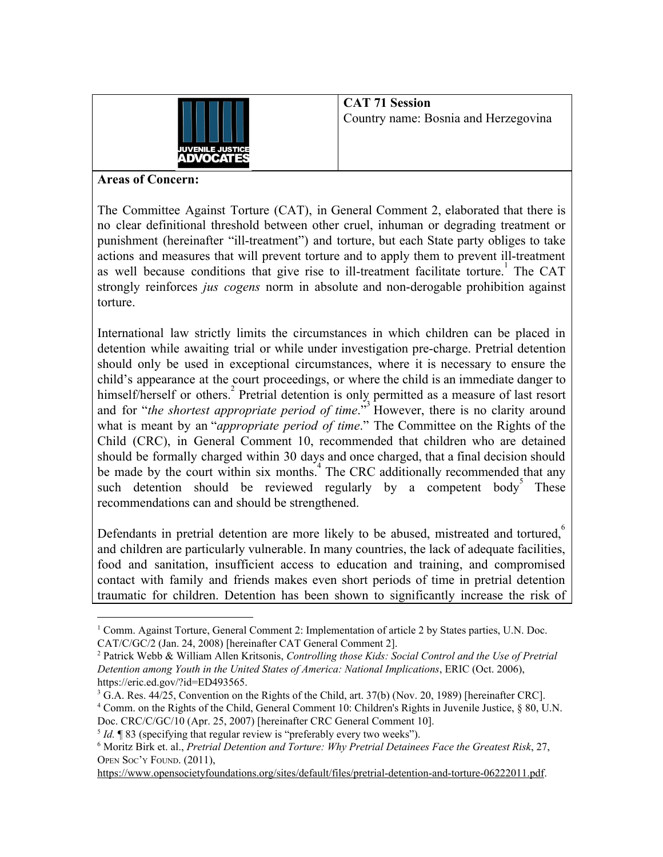

**CAT 71 Session** Country name: Bosnia and Herzegovina

## **Areas of Concern:**

The Committee Against Torture (CAT), in General Comment 2, elaborated that there is no clear definitional threshold between other cruel, inhuman or degrading treatment or punishment (hereinafter "ill-treatment") and torture, but each State party obliges to take actions and measures that will prevent torture and to apply them to prevent ill-treatment as well because conditions that give rise to ill-treatment facilitate torture. The CAT strongly reinforces *jus cogens* norm in absolute and non-derogable prohibition against torture.

International law strictly limits the circumstances in which children can be placed in detention while awaiting trial or while under investigation pre-charge. Pretrial detention should only be used in exceptional circumstances, where it is necessary to ensure the child's appearance at the court proceedings, or where the child is an immediate danger to himself/herself or others.<sup>2</sup> Pretrial detention is only permitted as a measure of last resort and for "*the shortest appropriate period of time*."<sup>3</sup> However, there is no clarity around what is meant by an "*appropriate period of time*." The Committee on the Rights of the Child (CRC), in General Comment 10, recommended that children who are detained should be formally charged within 30 days and once charged, that a final decision should be made by the court within six months.<sup>4</sup> The CRC additionally recommended that any such detention should be reviewed regularly by a competent body These recommendations can and should be strengthened.

Defendants in pretrial detention are more likely to be abused, mistreated and tortured, $\degree$ and children are particularly vulnerable. In many countries, the lack of adequate facilities, food and sanitation, insufficient access to education and training, and compromised contact with family and friends makes even short periods of time in pretrial detention traumatic for children. Detention has been shown to significantly increase the risk of

<https://www.opensocietyfoundations.org/sites/default/files/pretrial-detention-and-torture-06222011.pdf>.

<sup>&</sup>lt;sup>1</sup> Comm. Against Torture, General Comment 2: Implementation of article 2 by States parties, U.N. Doc. CAT/C/GC/2 (Jan. 24, 2008) [hereinafter CAT General Comment 2].

<sup>2</sup> Patrick Webb & William Allen Kritsonis, *Controlling those Kids: Social Control and the Use of Pretrial Detention among Youth in the United States of America: National Implications*, ERIC (Oct. 2006), https://eric.ed.gov/?id=ED493565.

 $3$  G.A. Res. 44/25, Convention on the Rights of the Child, art. 37(b) (Nov. 20, 1989) [hereinafter CRC].

<sup>4</sup> Comm. on the Rights of the Child, General Comment 10: Children's Rights in Juvenile Justice, § 80, U.N. Doc. CRC/C/GC/10 (Apr. 25, 2007) [hereinafter CRC General Comment 10].

<sup>&</sup>lt;sup>5</sup> *Id*. **¶** 83 (specifying that regular review is "preferably every two weeks").

<sup>6</sup> Moritz Birk et. al., *Pretrial Detention and Torture: Why Pretrial Detainees Face the Greatest Risk*, 27, OPEN SOC'<sup>Y</sup> FOUND. (2011),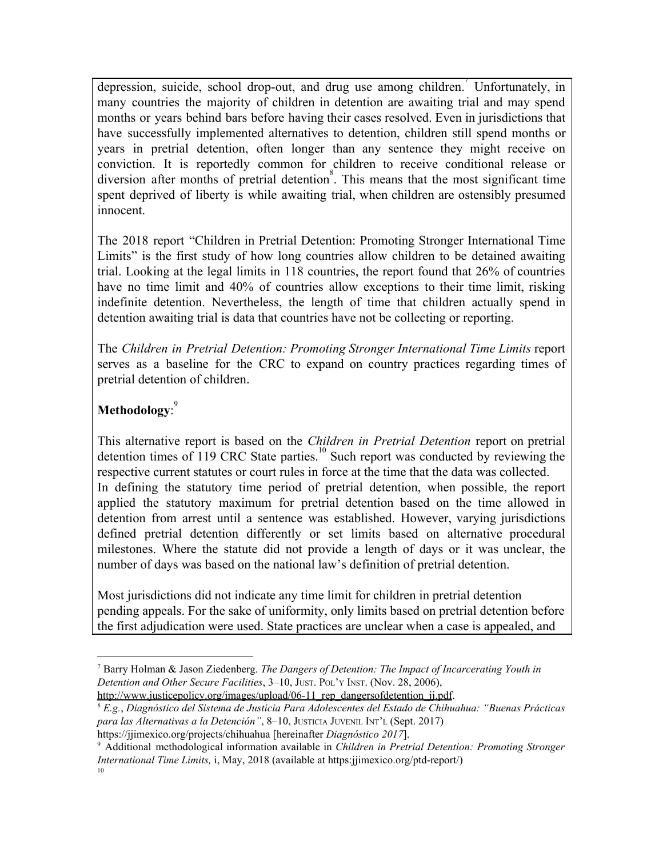depression, suicide, school drop-out, and drug use among children. Unfortunately, in many countries the majority of children in detention are awaiting trial and may spend months or years behind bars before having their cases resolved. Even in jurisdictions that have successfully implemented alternatives to detention, children still spend months or years in pretrial detention, often longer than any sentence they might receive on conviction. It is reportedly common for children to receive conditional release or diversion after months of pretrial detention<sup>8</sup>. This means that the most significant time spent deprived of liberty is while awaiting trial, when children are ostensibly presumed innocent.

The 2018 report "Children in Pretrial Detention: Promoting Stronger International Time Limits" is the first study of how long countries allow children to be detained awaiting trial. Looking at the legal limits in 118 countries, the report found that 26% of countries have no time limit and 40% of countries allow exceptions to their time limit, risking indefinite detention. Nevertheless, the length of time that children actually spend in detention awaiting trial is data that countries have not be collecting or reporting.

The *Children in Pretrial Detention: Promoting Stronger International Time Limits* report serves as a baseline for the CRC to expand on country practices regarding times of pretrial detention of children.

## **Methodology**: 9

This alternative report is based on the *Children in Pretrial Detention* report on pretrial detention times of 119 CRC State parties.<sup>10</sup> Such report was conducted by reviewing the respective current statutes or court rules in force at the time that the data was collected. In defining the statutory time period of pretrial detention, when possible, the report applied the statutory maximum for pretrial detention based on the time allowed in detention from arrest until a sentence was established. However, varying jurisdictions defined pretrial detention differently or set limits based on alternative procedural milestones. Where the statute did not provide a length of days or it was unclear, the number of days was based on the national law's definition of pretrial detention.

Most jurisdictions did not indicate any time limit for children in pretrial detention pending appeals. For the sake of uniformity, only limits based on pretrial detention before the first adjudication were used. State practices are unclear when a case is appealed, and

<sup>8</sup> *E.g.*, *Diagnóstico del Sistema de Justicia Para Adolescentes del Estado de Chihuahua: "Buenas Prácticas para las Alternativas a la Detención"*, 8–10, JUSTICIA JUVENIL INT'<sup>L</sup> (Sept. 2017)

<sup>7</sup> Barry Holman & Jason Ziedenberg. *The Dangers of Detention: The Impact of Incarcerating Youth in Detention and Other Secure Facilities*, 3–10, JUST. POL'<sup>Y</sup> INST. (Nov. 28, 2006), http://www.justicepolicy.org/images/upload/06-11 rep\_dangersofdetention\_jj.pdf.

https://jjimexico.org/projects/chihuahua [hereinafter *Diagnóstico 2017*].

<sup>9</sup> Additional methodological information available in *Children in Pretrial Detention: Promoting Stronger International Time Limits,* i, May, 2018 (available at https:jjimexico.org/ptd-report/) 10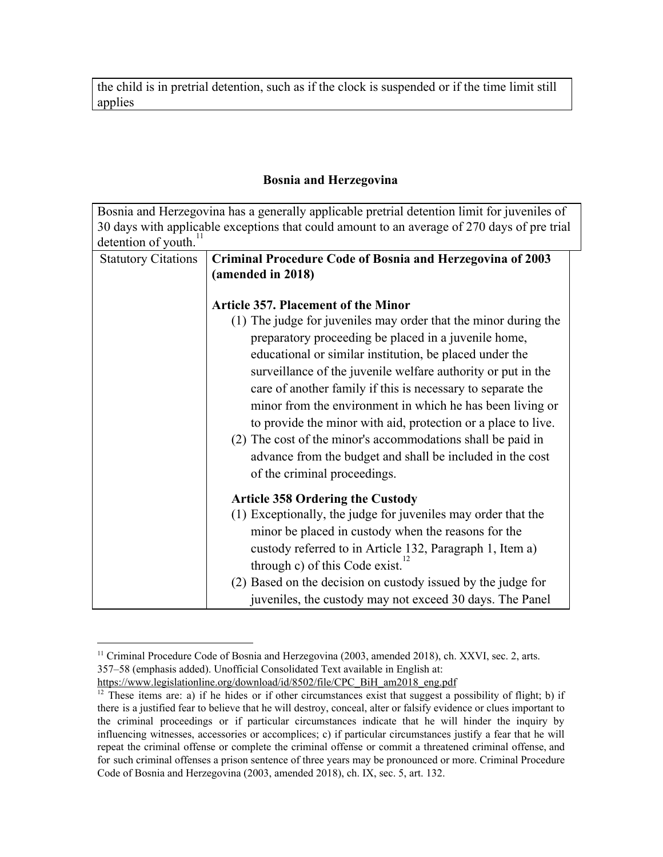the child is in pretrial detention, such as if the clock is suspended or if the time limit still applies

## **Bosnia and Herzegovina**

Bosnia and Herzegovina has a generally applicable pretrial detention limit for juveniles of 30 days with applicable exceptions that could amount to an average of 270 days of pre trial detention of youth.<sup>1</sup> Statutory Citations | Criminal Procedure Code of Bosnia and Herzegovina of 2003 **(amended in 2018) Article 357. Placement of the Minor** (1) The judge for juveniles may order that the minor during the preparatory proceeding be placed in a juvenile home, educational or similar institution, be placed under the surveillance of the juvenile welfare authority or put in the care of another family if this is necessary to separate the minor from the environment in which he has been living or to provide the minor with aid, protection or a place to live. (2) The cost of the minor's accommodations shall be paid in advance from the budget and shall be included in the cost of the criminal proceedings. **Article 358 Ordering the Custody** (1) Exceptionally, the judge for juveniles may order that the minor be placed in custody when the reasons for the custody referred to in Article 132, Paragraph 1, Item a) through c) of this Code exist. $^{12}$ (2) Based on the decision on custody issued by the judge for juveniles, the custody may not exceed 30 days. The Panel

<sup>&</sup>lt;sup>11</sup> Criminal Procedure Code of Bosnia and Herzegovina (2003, amended 2018), ch. XXVI, sec. 2, arts. 357–58 (emphasis added). Unofficial Consolidated Text available in English at:

[https://www.legislationline.org/download/id/8502/file/CPC\\_BiH\\_am2018\\_eng.pdf](https://www.legislationline.org/download/id/8502/file/CPC_BiH_am2018_eng.pdf)

 $12$  These items are: a) if he hides or if other circumstances exist that suggest a possibility of flight; b) if there is a justified fear to believe that he will destroy, conceal, alter or falsify evidence or clues important to the criminal proceedings or if particular circumstances indicate that he will hinder the inquiry by influencing witnesses, accessories or accomplices; c) if particular circumstances justify a fear that he will repeat the criminal offense or complete the criminal offense or commit a threatened criminal offense, and for such criminal offenses a prison sentence of three years may be pronounced or more. Criminal Procedure Code of Bosnia and Herzegovina (2003, amended 2018), ch. IX, sec. 5, art. 132.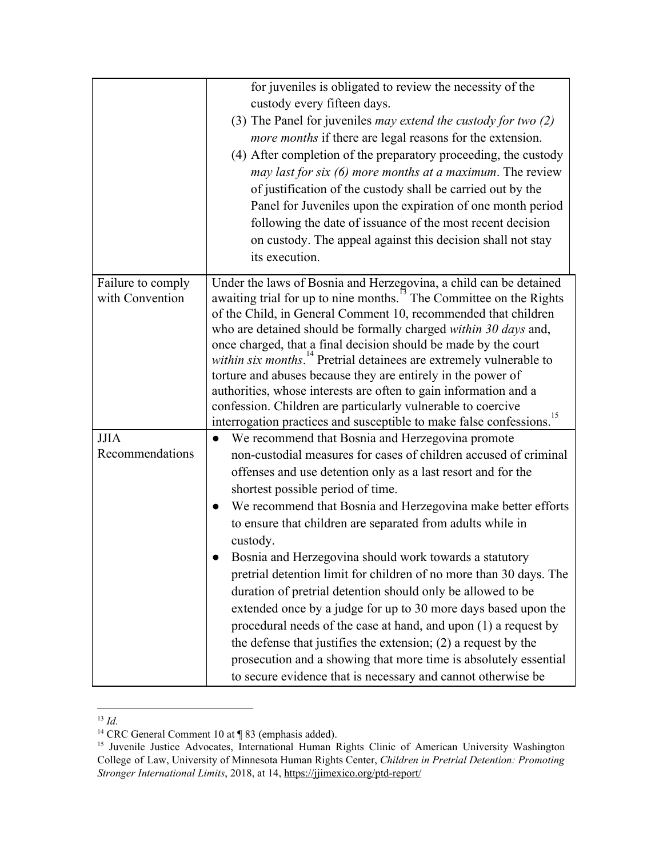|                                      | for juveniles is obligated to review the necessity of the<br>custody every fifteen days.<br>(3) The Panel for juveniles <i>may extend the custody for two</i> $(2)$<br>more months if there are legal reasons for the extension.<br>(4) After completion of the preparatory proceeding, the custody<br>may last for six (6) more months at a maximum. The review<br>of justification of the custody shall be carried out by the<br>Panel for Juveniles upon the expiration of one month period<br>following the date of issuance of the most recent decision<br>on custody. The appeal against this decision shall not stay<br>its execution.                                                                                                                                                                                                                                                                                |
|--------------------------------------|------------------------------------------------------------------------------------------------------------------------------------------------------------------------------------------------------------------------------------------------------------------------------------------------------------------------------------------------------------------------------------------------------------------------------------------------------------------------------------------------------------------------------------------------------------------------------------------------------------------------------------------------------------------------------------------------------------------------------------------------------------------------------------------------------------------------------------------------------------------------------------------------------------------------------|
| Failure to comply<br>with Convention | Under the laws of Bosnia and Herzegovina, a child can be detained<br>awaiting trial for up to nine months. <sup>15</sup> The Committee on the Rights<br>of the Child, in General Comment 10, recommended that children<br>who are detained should be formally charged within 30 days and,<br>once charged, that a final decision should be made by the court<br>within six months. <sup>14</sup> Pretrial detainees are extremely vulnerable to<br>torture and abuses because they are entirely in the power of<br>authorities, whose interests are often to gain information and a<br>confession. Children are particularly vulnerable to coercive<br>interrogation practices and susceptible to make false confessions. <sup>15</sup>                                                                                                                                                                                      |
| <b>JJIA</b><br>Recommendations       | We recommend that Bosnia and Herzegovina promote<br>$\bullet$<br>non-custodial measures for cases of children accused of criminal<br>offenses and use detention only as a last resort and for the<br>shortest possible period of time.<br>We recommend that Bosnia and Herzegovina make better efforts<br>to ensure that children are separated from adults while in<br>custody.<br>Bosnia and Herzegovina should work towards a statutory<br>pretrial detention limit for children of no more than 30 days. The<br>duration of pretrial detention should only be allowed to be<br>extended once by a judge for up to 30 more days based upon the<br>procedural needs of the case at hand, and upon (1) a request by<br>the defense that justifies the extension; $(2)$ a request by the<br>prosecution and a showing that more time is absolutely essential<br>to secure evidence that is necessary and cannot otherwise be |

<sup>13</sup> *Id.*

<sup>&</sup>lt;sup>14</sup> CRC General Comment 10 at ¶ 83 (emphasis added).

<sup>&</sup>lt;sup>15</sup> Juvenile Justice Advocates, International Human Rights Clinic of American University Washington College of Law, University of Minnesota Human Rights Center, *Children in Pretrial Detention: Promoting Stronger International Limits*, 2018, at 14, <https://jjimexico.org/ptd-report/>